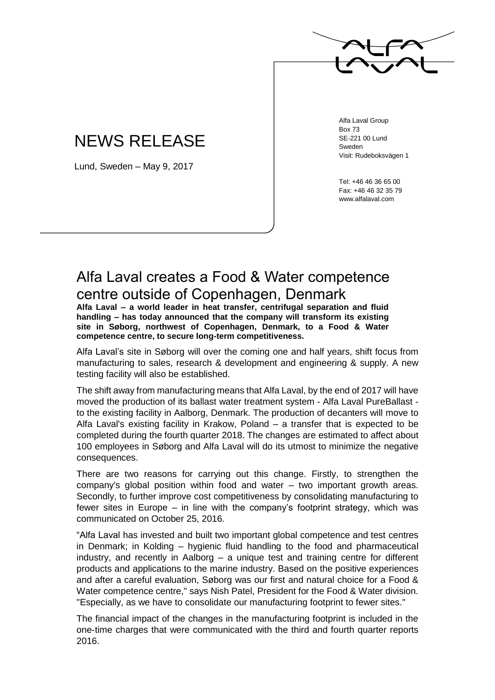

## NEWS RELEASE

Lund, Sweden – May 9, 2017

Alfa Laval Group Box 73 SE-221 00 Lund Sweden Visit: Rudeboksvägen 1

Tel: +46 46 36 65 00 Fax: +46 46 32 35 79 www.alfalaval.com

## Alfa Laval creates a Food & Water competence centre outside of Copenhagen, Denmark

**Alfa Laval – a world leader in heat transfer, centrifugal separation and fluid handling – has today announced that the company will transform its existing site in Søborg, northwest of Copenhagen, Denmark, to a Food & Water competence centre, to secure long-term competitiveness.**

Alfa Laval's site in Søborg will over the coming one and half years, shift focus from manufacturing to sales, research & development and engineering & supply. A new testing facility will also be established.

The shift away from manufacturing means that Alfa Laval, by the end of 2017 will have moved the production of its ballast water treatment system - Alfa Laval PureBallast to the existing facility in Aalborg, Denmark. The production of decanters will move to Alfa Laval's existing facility in Krakow, Poland – a transfer that is expected to be completed during the fourth quarter 2018. The changes are estimated to affect about 100 employees in Søborg and Alfa Laval will do its utmost to minimize the negative consequences.

There are two reasons for carrying out this change. Firstly, to strengthen the company's global position within food and water – two important growth areas. Secondly, to further improve cost competitiveness by consolidating manufacturing to fewer sites in Europe – in line with the company's footprint strategy, which was communicated on October 25, 2016.

"Alfa Laval has invested and built two important global competence and test centres in Denmark; in Kolding – hygienic fluid handling to the food and pharmaceutical industry, and recently in Aalborg – a unique test and training centre for different products and applications to the marine industry. Based on the positive experiences and after a careful evaluation, Søborg was our first and natural choice for a Food & Water competence centre," says Nish Patel, President for the Food & Water division. "Especially, as we have to consolidate our manufacturing footprint to fewer sites."

The financial impact of the changes in the manufacturing footprint is included in the one-time charges that were communicated with the third and fourth quarter reports 2016.